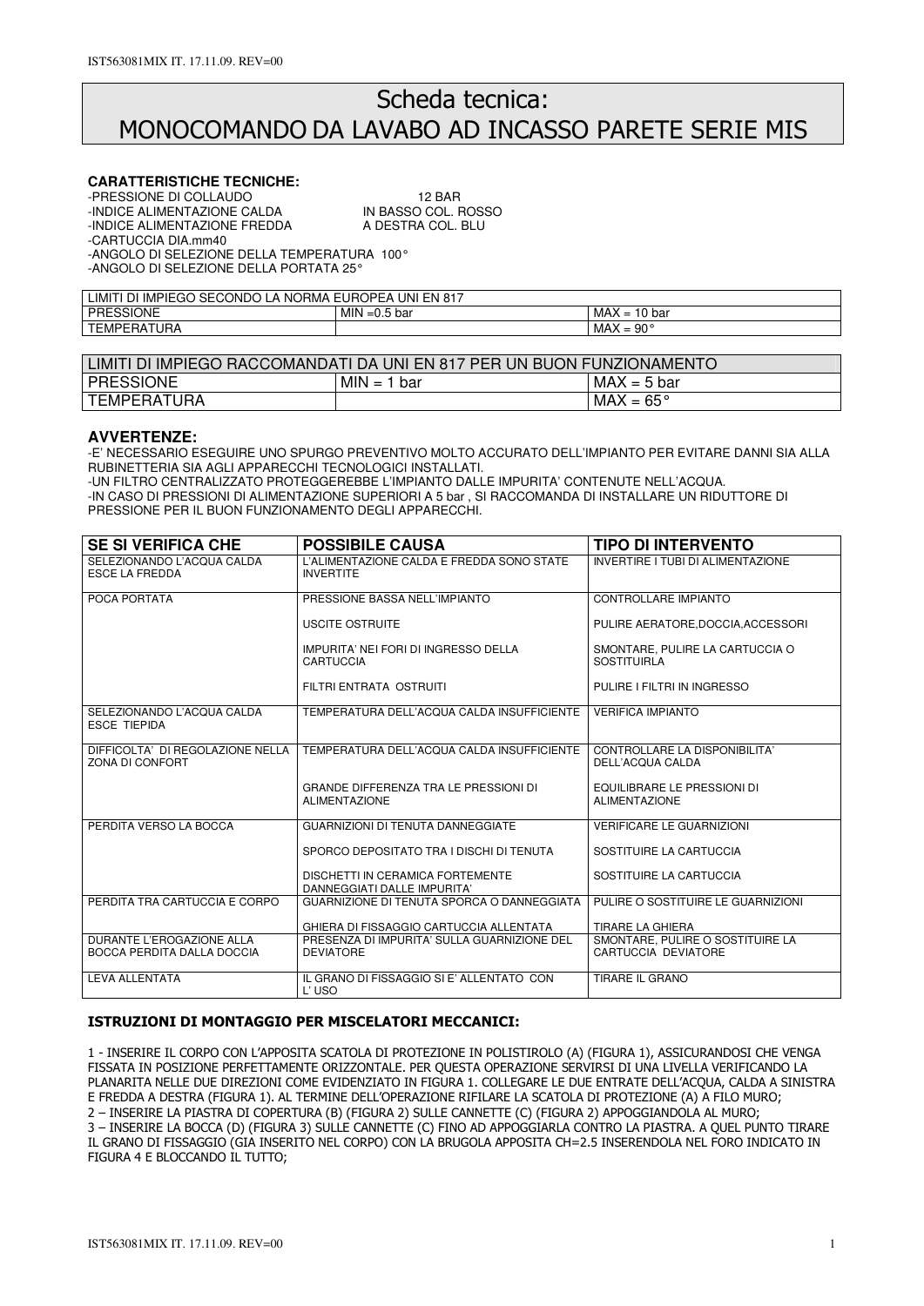# Scheda tecnica: MONOCOMANDO DA LAVABO AD INCASSO PARETE SERIE MIS

### **CARATTERISTICHE TECNICHE:**

-PRESSIONE DI COLLAUDO 12 BAR -INDICE ALIMENTAZIONE CALDA -INDICE ALIMENTAZIONE FREDDA A DESTRA COL. BLU -CARTUCCIA DIA.mm40 -ANGOLO DI SELEZIONE DELLA TEMPERATURA 100° -ANGOLO DI SELEZIONE DELLA PORTATA 25°

| <b>UNI</b><br>IMPIEGO SECONDO<br>EUROPEA'<br><b>NORMA</b><br>EN<br>817ء<br>LIMIT'<br>∽<br>וט<br>$\boldsymbol{\mu}$ |                          |                                                       |  |  |
|--------------------------------------------------------------------------------------------------------------------|--------------------------|-------------------------------------------------------|--|--|
| <b>PRESSIONE</b>                                                                                                   | MIN<br>bar<br>-<br>. ⊐∪… | <b>MAX</b><br>10 bar<br>-<br>$\overline{\phantom{0}}$ |  |  |
| <b>EMPERATURA</b><br>ᅲᅮ                                                                                            |                          | MAX<br>. 90°<br>-<br>$\overline{\phantom{0}}$         |  |  |

| LIMITI DI IMPIEGO RACCOMANDATI DA UNI EN 817 PER UN BUON FUNZIONAMENTO |               |                    |  |
|------------------------------------------------------------------------|---------------|--------------------|--|
| <b>PRESSIONE</b>                                                       | $MIN = 1 bar$ | $MAX = 5$ bar      |  |
| l TEMPERATURA                                                          |               | $MAX = 65^{\circ}$ |  |

### **AVVERTENZE:**

-E' NECESSARIO ESEGUIRE UNO SPURGO PREVENTIVO MOLTO ACCURATO DELL'IMPIANTO PER EVITARE DANNI SIA ALLA RUBINETTERIA SIA AGLI APPARECCHI TECNOLOGICI INSTALLATI.

-UN FILTRO CENTRALIZZATO PROTEGGEREBBE L'IMPIANTO DALLE IMPURITA' CONTENUTE NELL'ACQUA. -IN CASO DI PRESSIONI DI ALIMENTAZIONE SUPERIORI A 5 bar , SI RACCOMANDA DI INSTALLARE UN RIDUTTORE DI PRESSIONE PER IL BUON FUNZIONAMENTO DEGLI APPARECCHI.

| <b>SE SI VERIFICA CHE</b>                               | <b>POSSIBILE CAUSA</b>                                               | <b>TIPO DI INTERVENTO</b>                               |
|---------------------------------------------------------|----------------------------------------------------------------------|---------------------------------------------------------|
| SELEZIONANDO L'ACQUA CALDA<br><b>ESCE LA FREDDA</b>     | L'ALIMENTAZIONE CALDA E FREDDA SONO STATE<br><b>INVERTITE</b>        | INVERTIRE I TUBI DI ALIMENTAZIONE                       |
| POCA PORTATA                                            | PRESSIONE BASSA NELL'IMPIANTO                                        | <b>CONTROLLARE IMPIANTO</b>                             |
|                                                         | USCITE OSTRUITE                                                      | PULIRE AERATORE, DOCCIA, ACCESSORI                      |
|                                                         | IMPURITA' NEI FORI DI INGRESSO DELLA<br><b>CARTUCCIA</b>             | SMONTARE, PULIRE LA CARTUCCIA O<br><b>SOSTITUIRLA</b>   |
|                                                         | FILTRI ENTRATA OSTRUITI                                              | PULIRE I FILTRI IN INGRESSO                             |
| SELEZIONANDO L'ACQUA CALDA<br><b>ESCE TIEPIDA</b>       | TEMPERATURA DELL'ACQUA CALDA INSUFFICIENTE                           | <b>VERIFICA IMPIANTO</b>                                |
| DIFFICOLTA' DI REGOLAZIONE NELLA<br>ZONA DI CONFORT     | TEMPERATURA DELL'ACQUA CALDA INSUFFICIENTE                           | CONTROLLARE LA DISPONIBILITA'<br>DELL'ACQUA CALDA       |
|                                                         | <b>GRANDE DIFFERENZA TRA LE PRESSIONI DI</b><br><b>ALIMENTAZIONE</b> | EQUILIBRARE LE PRESSIONI DI<br><b>ALIMENTAZIONE</b>     |
| PERDITA VERSO LA BOCCA                                  | <b>GUARNIZIONI DI TENUTA DANNEGGIATE</b>                             | <b>VERIFICARE LE GUARNIZIONI</b>                        |
|                                                         | SPORCO DEPOSITATO TRA I DISCHI DI TENUTA                             | SOSTITUIRE LA CARTUCCIA                                 |
|                                                         | DISCHETTI IN CERAMICA FORTEMENTE<br>DANNEGGIATI DALLE IMPURITA'      | SOSTITUIRE LA CARTUCCIA                                 |
| PERDITA TRA CARTUCCIA E CORPO                           | GUARNIZIONE DI TENUTA SPORCA O DANNEGGIATA                           | PULIRE O SOSTITUIRE LE GUARNIZIONI                      |
|                                                         | GHIERA DI FISSAGGIO CARTUCCIA ALLENTATA                              | <b>TIRARE LA GHIERA</b>                                 |
| DURANTE L'EROGAZIONE ALLA<br>BOCCA PERDITA DALLA DOCCIA | PRESENZA DI IMPURITA' SULLA GUARNIZIONE DEL<br><b>DEVIATORE</b>      | SMONTARE. PULIRE O SOSTITUIRE LA<br>CARTUCCIA DEVIATORE |
| <b>LEVA ALLENTATA</b>                                   | IL GRANO DI FISSAGGIO SI E' ALLENTATO CON<br>L'USO                   | <b>TIRARE IL GRANO</b>                                  |

### ISTRUZIONI DI MONTAGGIO PER MISCELATORI MECCANICI:

1 - INSERIRE IL CORPO CON L'APPOSITA SCATOLA DI PROTEZIONE IN POLISTIROLO (A) (FIGURA 1), ASSICURANDOSI CHE VENGA FISSATA IN POSIZIONE PERFETTAMENTE ORIZZONTALE. PER QUESTA OPERAZIONE SERVIRSI DI UNA LIVELLA VERIFICANDO LA PLANARITA NELLE DUE DIREZIONI COME EVIDENZIATO IN FIGURA 1. COLLEGARE LE DUE ENTRATE DELL'ACQUA, CALDA A SINISTRA E FREDDA A DESTRA (FIGURA 1). AL TERMINE DELL'OPERAZIONE RIFILARE LA SCATOLA DI PROTEZIONE (A) A FILO MURO; 2 – INSERIRE LA PIASTRA DI COPERTURA (B) (FIGURA 2) SULLE CANNETTE (C) (FIGURA 2) APPOGGIANDOLA AL MURO; 3 – INSERIRE LA BOCCA (D) (FIGURA 3) SULLE CANNETTE (C) FINO AD APPOGGIARLA CONTRO LA PIASTRA. A QUEL PUNTO TIRARE IL GRANO DI FISSAGGIO (GIA INSERITO NEL CORPO) CON LA BRUGOLA APPOSITA CH=2.5 INSERENDOLA NEL FORO INDICATO IN FIGURA 4 E BLOCCANDO IL TUTTO;